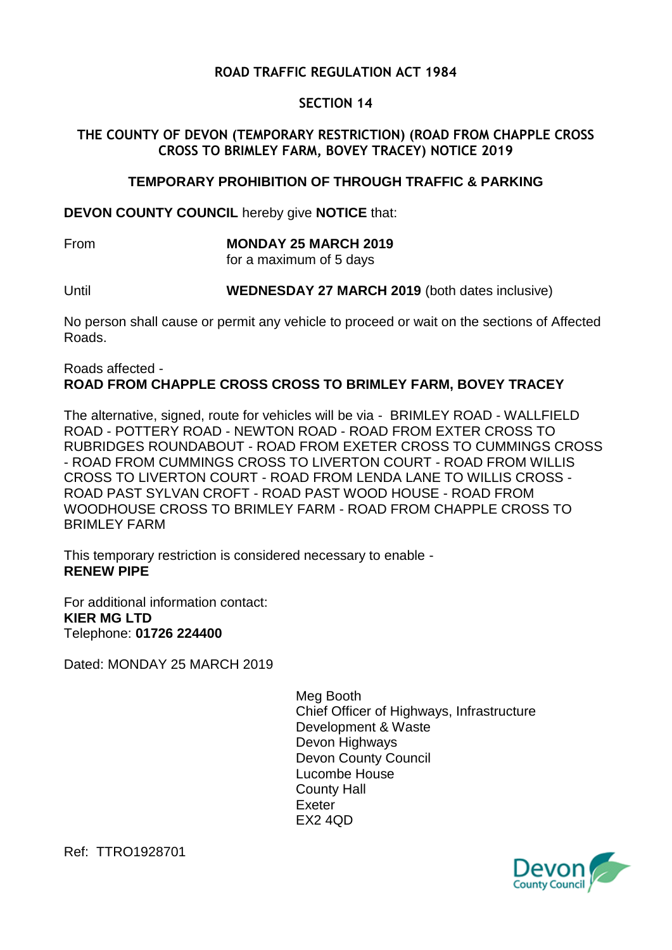## **ROAD TRAFFIC REGULATION ACT 1984**

## **SECTION 14**

## **THE COUNTY OF DEVON (TEMPORARY RESTRICTION) (ROAD FROM CHAPPLE CROSS CROSS TO BRIMLEY FARM, BOVEY TRACEY) NOTICE 2019**

#### **TEMPORARY PROHIBITION OF THROUGH TRAFFIC & PARKING**

**DEVON COUNTY COUNCIL** hereby give **NOTICE** that:

# From **MONDAY 25 MARCH 2019**

for a maximum of 5 days

Until **WEDNESDAY 27 MARCH 2019** (both dates inclusive)

No person shall cause or permit any vehicle to proceed or wait on the sections of Affected Roads.

#### Roads affected - **ROAD FROM CHAPPLE CROSS CROSS TO BRIMLEY FARM, BOVEY TRACEY**

The alternative, signed, route for vehicles will be via - BRIMLEY ROAD - WALLFIELD ROAD - POTTERY ROAD - NEWTON ROAD - ROAD FROM EXTER CROSS TO RUBRIDGES ROUNDABOUT - ROAD FROM EXETER CROSS TO CUMMINGS CROSS - ROAD FROM CUMMINGS CROSS TO LIVERTON COURT - ROAD FROM WILLIS CROSS TO LIVERTON COURT - ROAD FROM LENDA LANE TO WILLIS CROSS - ROAD PAST SYLVAN CROFT - ROAD PAST WOOD HOUSE - ROAD FROM WOODHOUSE CROSS TO BRIMLEY FARM - ROAD FROM CHAPPLE CROSS TO BRIMLEY FARM

This temporary restriction is considered necessary to enable - **RENEW PIPE**

For additional information contact: **KIER MG LTD** Telephone: **01726 224400**

Dated: MONDAY 25 MARCH 2019

Meg Booth Chief Officer of Highways, Infrastructure Development & Waste Devon Highways Devon County Council Lucombe House County Hall Exeter EX2 4QD



Ref: TTRO1928701